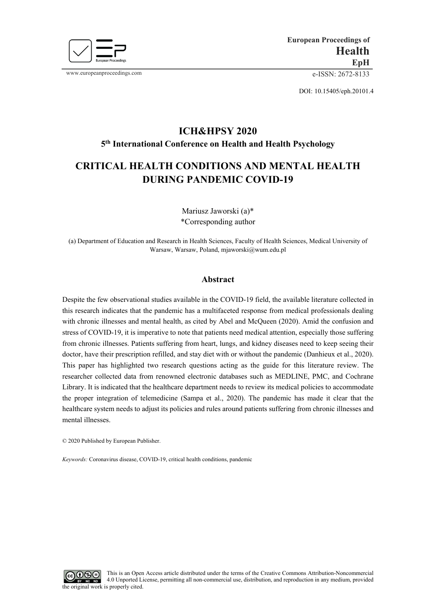

www.europeanproceedings.com e-ISSN: 2672-8133

DOI: 10.15405/eph.20101.4

# **ICH&HPSY 2020 5th International Conference on Health and Health Psychology**

## **CRITICAL HEALTH CONDITIONS AND MENTAL HEALTH DURING PANDEMIC COVID-19**

Mariusz Jaworski (a)\* \*Corresponding author

(a) Department of Education and Research in Health Sciences, Faculty of Health Sciences, Medical University of Warsaw, Warsaw, Poland, mjaworski@wum.edu.pl

## **Abstract**

Despite the few observational studies available in the COVID-19 field, the available literature collected in this research indicates that the pandemic has a multifaceted response from medical professionals dealing with chronic illnesses and mental health, as cited by Abel and McQueen (2020). Amid the confusion and stress of COVID-19, it is imperative to note that patients need medical attention, especially those suffering from chronic illnesses. Patients suffering from heart, lungs, and kidney diseases need to keep seeing their doctor, have their prescription refilled, and stay diet with or without the pandemic (Danhieux et al., 2020). This paper has highlighted two research questions acting as the guide for this literature review. The researcher collected data from renowned electronic databases such as MEDLINE, PMC, and Cochrane Library. It is indicated that the healthcare department needs to review its medical policies to accommodate the proper integration of telemedicine (Sampa et al., 2020). The pandemic has made it clear that the healthcare system needs to adjust its policies and rules around patients suffering from chronic illnesses and mental illnesses.

© 2020 Published by European Publisher.

*Keywords:* Coronavirus disease, COVID-19, critical health conditions, pandemic

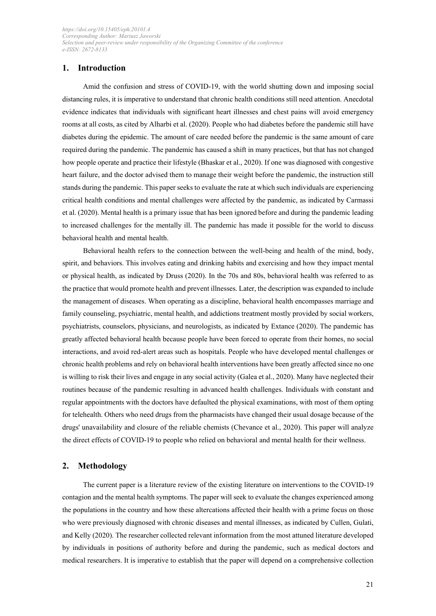### **1. Introduction**

Amid the confusion and stress of COVID-19, with the world shutting down and imposing social distancing rules, it is imperative to understand that chronic health conditions still need attention. Anecdotal evidence indicates that individuals with significant heart illnesses and chest pains will avoid emergency rooms at all costs, as cited by Alharbi et al. (2020). People who had diabetes before the pandemic still have diabetes during the epidemic. The amount of care needed before the pandemic is the same amount of care required during the pandemic. The pandemic has caused a shift in many practices, but that has not changed how people operate and practice their lifestyle (Bhaskar et al., 2020). If one was diagnosed with congestive heart failure, and the doctor advised them to manage their weight before the pandemic, the instruction still stands during the pandemic. This paper seeks to evaluate the rate at which such individuals are experiencing critical health conditions and mental challenges were affected by the pandemic, as indicated by Carmassi et al. (2020). Mental health is a primary issue that has been ignored before and during the pandemic leading to increased challenges for the mentally ill. The pandemic has made it possible for the world to discuss behavioral health and mental health.

Behavioral health refers to the connection between the well-being and health of the mind, body, spirit, and behaviors. This involves eating and drinking habits and exercising and how they impact mental or physical health, as indicated by Druss (2020). In the 70s and 80s, behavioral health was referred to as the practice that would promote health and prevent illnesses. Later, the description was expanded to include the management of diseases. When operating as a discipline, behavioral health encompasses marriage and family counseling, psychiatric, mental health, and addictions treatment mostly provided by social workers, psychiatrists, counselors, physicians, and neurologists, as indicated by Extance (2020). The pandemic has greatly affected behavioral health because people have been forced to operate from their homes, no social interactions, and avoid red-alert areas such as hospitals. People who have developed mental challenges or chronic health problems and rely on behavioral health interventions have been greatly affected since no one is willing to risk their lives and engage in any social activity (Galea et al., 2020). Many have neglected their routines because of the pandemic resulting in advanced health challenges. Individuals with constant and regular appointments with the doctors have defaulted the physical examinations, with most of them opting for telehealth. Others who need drugs from the pharmacists have changed their usual dosage because of the drugs' unavailability and closure of the reliable chemists (Chevance et al., 2020). This paper will analyze the direct effects of COVID-19 to people who relied on behavioral and mental health for their wellness.

#### **2. Methodology**

The current paper is a literature review of the existing literature on interventions to the COVID-19 contagion and the mental health symptoms. The paper will seek to evaluate the changes experienced among the populations in the country and how these altercations affected their health with a prime focus on those who were previously diagnosed with chronic diseases and mental illnesses, as indicated by Cullen, Gulati, and Kelly (2020). The researcher collected relevant information from the most attuned literature developed by individuals in positions of authority before and during the pandemic, such as medical doctors and medical researchers. It is imperative to establish that the paper will depend on a comprehensive collection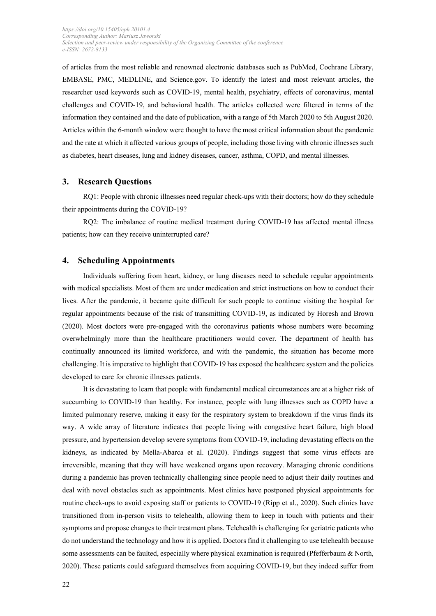of articles from the most reliable and renowned electronic databases such as PubMed, Cochrane Library, EMBASE, PMC, MEDLINE, and Science.gov. To identify the latest and most relevant articles, the researcher used keywords such as COVID-19, mental health, psychiatry, effects of coronavirus, mental challenges and COVID-19, and behavioral health. The articles collected were filtered in terms of the information they contained and the date of publication, with a range of 5th March 2020 to 5th August 2020. Articles within the 6-month window were thought to have the most critical information about the pandemic and the rate at which it affected various groups of people, including those living with chronic illnesses such as diabetes, heart diseases, lung and kidney diseases, cancer, asthma, COPD, and mental illnesses.

#### **3. Research Questions**

RQ1: People with chronic illnesses need regular check-ups with their doctors; how do they schedule their appointments during the COVID-19?

RQ2: The imbalance of routine medical treatment during COVID-19 has affected mental illness patients; how can they receive uninterrupted care?

#### **4. Scheduling Appointments**

Individuals suffering from heart, kidney, or lung diseases need to schedule regular appointments with medical specialists. Most of them are under medication and strict instructions on how to conduct their lives. After the pandemic, it became quite difficult for such people to continue visiting the hospital for regular appointments because of the risk of transmitting COVID-19, as indicated by Horesh and Brown (2020). Most doctors were pre-engaged with the coronavirus patients whose numbers were becoming overwhelmingly more than the healthcare practitioners would cover. The department of health has continually announced its limited workforce, and with the pandemic, the situation has become more challenging. It is imperative to highlight that COVID-19 has exposed the healthcare system and the policies developed to care for chronic illnesses patients.

It is devastating to learn that people with fundamental medical circumstances are at a higher risk of succumbing to COVID-19 than healthy. For instance, people with lung illnesses such as COPD have a limited pulmonary reserve, making it easy for the respiratory system to breakdown if the virus finds its way. A wide array of literature indicates that people living with congestive heart failure, high blood pressure, and hypertension develop severe symptoms from COVID-19, including devastating effects on the kidneys, as indicated by Mella-Abarca et al. (2020). Findings suggest that some virus effects are irreversible, meaning that they will have weakened organs upon recovery. Managing chronic conditions during a pandemic has proven technically challenging since people need to adjust their daily routines and deal with novel obstacles such as appointments. Most clinics have postponed physical appointments for routine check-ups to avoid exposing staff or patients to COVID-19 (Ripp et al., 2020). Such clinics have transitioned from in-person visits to telehealth, allowing them to keep in touch with patients and their symptoms and propose changes to their treatment plans. Telehealth is challenging for geriatric patients who do not understand the technology and how it is applied. Doctors find it challenging to use telehealth because some assessments can be faulted, especially where physical examination is required (Pfefferbaum & North, 2020). These patients could safeguard themselves from acquiring COVID-19, but they indeed suffer from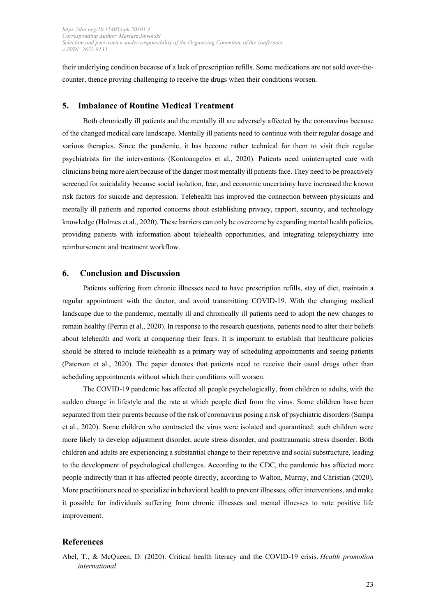their underlying condition because of a lack of prescription refills. Some medications are not sold over-thecounter, thence proving challenging to receive the drugs when their conditions worsen.

#### **5. Imbalance of Routine Medical Treatment**

Both chronically ill patients and the mentally ill are adversely affected by the coronavirus because of the changed medical care landscape. Mentally ill patients need to continue with their regular dosage and various therapies. Since the pandemic, it has become rather technical for them to visit their regular psychiatrists for the interventions (Kontoangelos et al., 2020). Patients need uninterrupted care with clinicians being more alert because of the danger most mentally ill patients face. They need to be proactively screened for suicidality because social isolation, fear, and economic uncertainty have increased the known risk factors for suicide and depression. Telehealth has improved the connection between physicians and mentally ill patients and reported concerns about establishing privacy, rapport, security, and technology knowledge (Holmes et al., 2020). These barriers can only be overcome by expanding mental health policies, providing patients with information about telehealth opportunities, and integrating telepsychiatry into reimbursement and treatment workflow.

#### **6. Conclusion and Discussion**

Patients suffering from chronic illnesses need to have prescription refills, stay of diet, maintain a regular appointment with the doctor, and avoid transmitting COVID-19. With the changing medical landscape due to the pandemic, mentally ill and chronically ill patients need to adopt the new changes to remain healthy (Perrin et al., 2020). In response to the research questions, patients need to alter their beliefs about telehealth and work at conquering their fears. It is important to establish that healthcare policies should be altered to include telehealth as a primary way of scheduling appointments and seeing patients (Paterson et al., 2020). The paper denotes that patients need to receive their usual drugs other than scheduling appointments without which their conditions will worsen.

The COVID-19 pandemic has affected all people psychologically, from children to adults, with the sudden change in lifestyle and the rate at which people died from the virus. Some children have been separated from their parents because of the risk of coronavirus posing a risk of psychiatric disorders (Sampa et al., 2020). Some children who contracted the virus were isolated and quarantined; such children were more likely to develop adjustment disorder, acute stress disorder, and posttraumatic stress disorder. Both children and adults are experiencing a substantial change to their repetitive and social substructure, leading to the development of psychological challenges. According to the CDC, the pandemic has affected more people indirectly than it has affected people directly, according to Walton, Murray, and Christian (2020). More practitioners need to specialize in behavioral health to prevent illnesses, offer interventions, and make it possible for individuals suffering from chronic illnesses and mental illnesses to note positive life improvement.

#### **References**

Abel, T., & McQueen, D. (2020). Critical health literacy and the COVID-19 crisis. *Health promotion international*.